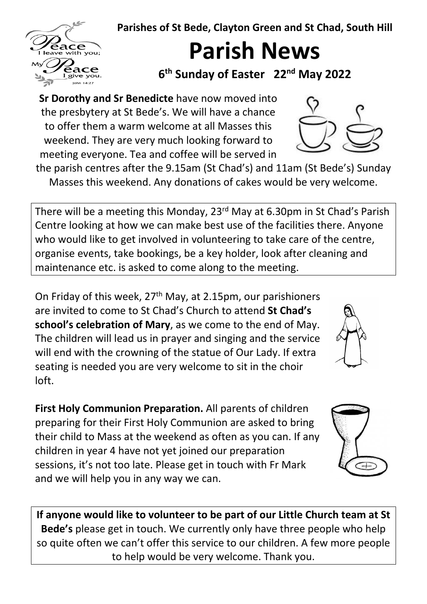**Parishes of St Bede, Clayton Green and St Chad, South Hill**

**Parish News**

**6th Sunday of Easter 22nd May 2022** 

**Sr Dorothy and Sr Benedicte** have now moved into the presbytery at St Bede's. We will have a chance to offer them a warm welcome at all Masses this weekend. They are very much looking forward to meeting everyone. Tea and coffee will be served in

the parish centres after the 9.15am (St Chad's) and 11am (St Bede's) Sunday Masses this weekend. Any donations of cakes would be very welcome.

There will be a meeting this Monday, 23rd May at 6.30pm in St Chad's Parish Centre looking at how we can make best use of the facilities there. Anyone who would like to get involved in volunteering to take care of the centre, organise events, take bookings, be a key holder, look after cleaning and maintenance etc. is asked to come along to the meeting.

On Friday of this week, 27th May, at 2.15pm, our parishioners are invited to come to St Chad's Church to attend **St Chad's school's celebration of Mary**, as we come to the end of May. The children will lead us in prayer and singing and the service will end with the crowning of the statue of Our Lady. If extra seating is needed you are very welcome to sit in the choir loft.

**First Holy Communion Preparation.** All parents of children preparing for their First Holy Communion are asked to bring their child to Mass at the weekend as often as you can. If any children in year 4 have not yet joined our preparation sessions, it's not too late. Please get in touch with Fr Mark and we will help you in any way we can.

**If anyone would like to volunteer to be part of our Little Church team at St Bede's** please get in touch. We currently only have three people who help so quite often we can't offer this service to our children. A few more people to help would be very welcome. Thank you.







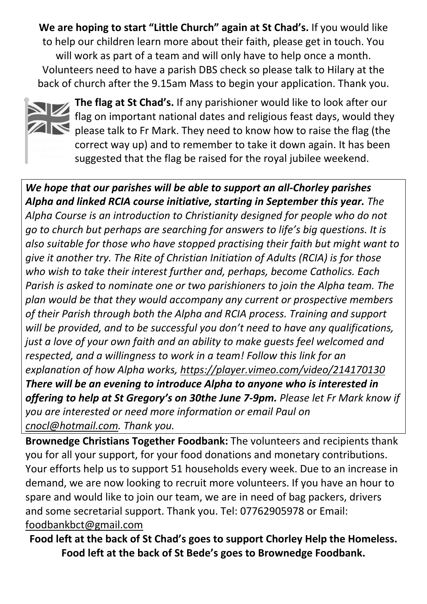**We are hoping to start "Little Church" again at St Chad's.** If you would like to help our children learn more about their faith, please get in touch. You will work as part of a team and will only have to help once a month. Volunteers need to have a parish DBS check so please talk to Hilary at the back of church after the 9.15am Mass to begin your application. Thank you.



**The flag at St Chad's.** If any parishioner would like to look after our flag on important national dates and religious feast days, would they  $\blacksquare$  please talk to Fr Mark. They need to know how to raise the flag (the correct way up) and to remember to take it down again. It has been suggested that the flag be raised for the royal jubilee weekend.

*We hope that our parishes will be able to support an all-Chorley parishes Alpha and linked RCIA course initiative, starting in September this year. The Alpha Course is an introduction to Christianity designed for people who do not go to church but perhaps are searching for answers to life's big questions. It is also suitable for those who have stopped practising their faith but might want to give it another try. The Rite of Christian Initiation of Adults (RCIA) is for those who wish to take their interest further and, perhaps, become Catholics. Each Parish is asked to nominate one or two parishioners to join the Alpha team. The plan would be that they would accompany any current or prospective members of their Parish through both the Alpha and RCIA process. Training and support will be provided, and to be successful you don't need to have any qualifications, just a love of your own faith and an ability to make guests feel welcomed and respected, and a willingness to work in a team! Follow this link for an explanation of how Alpha works,<https://player.vimeo.com/video/214170130> There will be an evening to introduce Alpha to anyone who is interested in offering to help at St Gregory's on 30the June 7-9pm. Please let Fr Mark know if you are interested or need more information or email Paul on [cnocl@hotmail.com.](mailto:cnocl@hotmail.com) Thank you.* 

**Brownedge Christians Together Foodbank:** The volunteers and recipients thank you for all your support, for your food donations and monetary contributions. Your efforts help us to support 51 households every week. Due to an increase in demand, we are now looking to recruit more volunteers. If you have an hour to spare and would like to join our team, we are in need of bag packers, drivers and some secretarial support. Thank you. Tel: 07762905978 or Email: [foodbankbct@gmail.com](mailto:foodbankbct@gmail.com) 

**Food left at the back of St Chad's goes to support Chorley Help the Homeless. Food left at the back of St Bede's goes to Brownedge Foodbank.**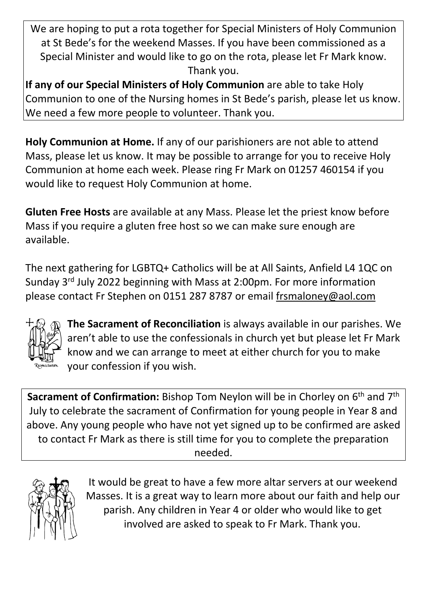We are hoping to put a rota together for Special Ministers of Holy Communion at St Bede's for the weekend Masses. If you have been commissioned as a Special Minister and would like to go on the rota, please let Fr Mark know. Thank you.

**If any of our Special Ministers of Holy Communion** are able to take Holy Communion to one of the Nursing homes in St Bede's parish, please let us know. We need a few more people to volunteer. Thank you.

**Holy Communion at Home.** If any of our parishioners are not able to attend Mass, please let us know. It may be possible to arrange for you to receive Holy Communion at home each week. Please ring Fr Mark on 01257 460154 if you would like to request Holy Communion at home.

**Gluten Free Hosts** are available at any Mass. Please let the priest know before Mass if you require a gluten free host so we can make sure enough are available.

The next gathering for LGBTQ+ Catholics will be at All Saints, Anfield L4 1QC on Sunday 3rd July 2022 beginning with Mass at 2:00pm. For more information please contact Fr Stephen on 0151 287 8787 or email [frsmaloney@aol.com](mailto:frsmaloney@aol.com)



**The Sacrament of Reconciliation** is always available in our parishes. We aren't able to use the confessionals in church yet but please let Fr Mark know and we can arrange to meet at either church for you to make your confession if you wish.

**Sacrament of Confirmation:** Bishop Tom Neylon will be in Chorley on 6<sup>th</sup> and 7<sup>th</sup> July to celebrate the sacrament of Confirmation for young people in Year 8 and above. Any young people who have not yet signed up to be confirmed are asked to contact Fr Mark as there is still time for you to complete the preparation needed.



It would be great to have a few more altar servers at our weekend Masses. It is a great way to learn more about our faith and help our parish. Any children in Year 4 or older who would like to get involved are asked to speak to Fr Mark. Thank you.